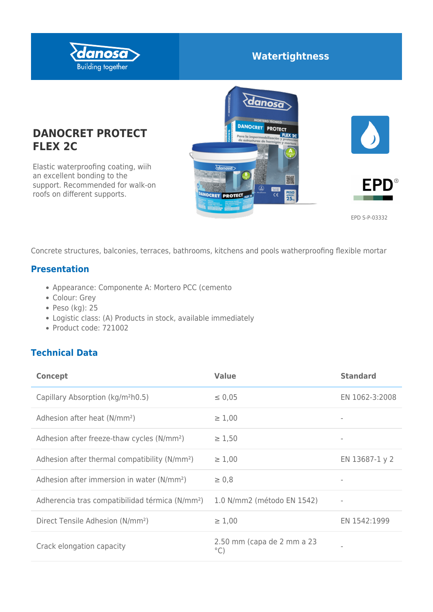

## **Watertightness**

# **DANOCRET PROTECT FLEX 2C**

Elastic waterproofing coating, wiih an excellent bonding to the support. Recommended for walk-on roofs on different supports.







EPD S-P-03332

Concrete structures, balconies, terraces, bathrooms, kitchens and pools watherproofing flexible mortar

#### **Presentation**

- Appearance: Componente A: Mortero PCC (cemento
- Colour: Grey
- Peso (kg): 25
- Logistic class: (A) Products in stock, available immediately
- Product code: 721002

## **Technical Data**

| <b>Concept</b>                                              | <b>Value</b>                                | <b>Standard</b>   |
|-------------------------------------------------------------|---------------------------------------------|-------------------|
| Capillary Absorption (kg/m <sup>2</sup> h0.5)               | $\leq 0.05$                                 | EN 1062-3:2008    |
| Adhesion after heat (N/mm <sup>2</sup> )                    | $\geq 1,00$                                 |                   |
| Adhesion after freeze-thaw cycles (N/mm <sup>2</sup> )      | $\geq 1,50$                                 | $\qquad \qquad =$ |
| Adhesion after thermal compatibility (N/mm <sup>2</sup> )   | $\geq 1,00$                                 | EN 13687-1 y 2    |
| Adhesion after immersion in water (N/mm <sup>2</sup> )      | $\geq 0.8$                                  |                   |
| Adherencia tras compatibilidad térmica (N/mm <sup>2</sup> ) | 1.0 N/mm2 (método EN 1542)                  | ٠                 |
| Direct Tensile Adhesion (N/mm <sup>2</sup> )                | $\geq 1,00$                                 | EN 1542:1999      |
| Crack elongation capacity                                   | 2.50 mm (capa de 2 mm a 23<br>$^{\circ}$ C) |                   |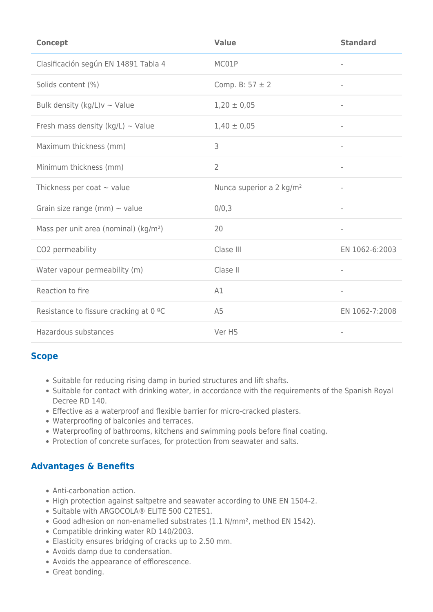| <b>Concept</b>                                    | <b>Value</b>                         | <b>Standard</b>          |
|---------------------------------------------------|--------------------------------------|--------------------------|
| Clasificación según EN 14891 Tabla 4              | MC01P                                | $\overline{\phantom{a}}$ |
| Solids content (%)                                | Comp. B: $57 \pm 2$                  |                          |
| Bulk density (kg/L) $v \sim$ Value                | $1,20 \pm 0,05$                      | $\overline{\phantom{a}}$ |
| Fresh mass density (kg/L) $\sim$ Value            | $1,40 \pm 0,05$                      | $\overline{\phantom{a}}$ |
| Maximum thickness (mm)                            | 3                                    | $\overline{\phantom{a}}$ |
| Minimum thickness (mm)                            | $\overline{2}$                       | $\overline{\phantom{a}}$ |
| Thickness per coat $\sim$ value                   | Nunca superior a 2 kg/m <sup>2</sup> | $\overline{\phantom{a}}$ |
| Grain size range (mm) $\sim$ value                | 0/0,3                                | $\overline{\phantom{a}}$ |
| Mass per unit area (nominal) (kg/m <sup>2</sup> ) | 20                                   | $\overline{\phantom{a}}$ |
| CO2 permeability                                  | Clase III                            | EN 1062-6:2003           |
| Water vapour permeability (m)                     | Clase II                             | $\overline{\phantom{a}}$ |
| Reaction to fire                                  | A1                                   | $\overline{\phantom{a}}$ |
| Resistance to fissure cracking at 0 °C            | A <sub>5</sub>                       | EN 1062-7:2008           |
| Hazardous substances                              | Ver HS                               |                          |

#### **Scope**

- Suitable for reducing rising damp in buried structures and lift shafts.
- Suitable for contact with drinking water, in accordance with the requirements of the Spanish Royal Decree RD 140.
- Effective as a waterproof and flexible barrier for micro-cracked plasters.
- Waterproofing of balconies and terraces.
- Waterproofing of bathrooms, kitchens and swimming pools before final coating.
- Protection of concrete surfaces, for protection from seawater and salts.

#### **Advantages & Benefits**

- Anti-carbonation action.
- High protection against saltpetre and seawater according to UNE EN 1504-2.
- Suitable with ARGOCOLA® ELITE 500 C2TES1.
- Good adhesion on non-enamelled substrates (1.1 N/mm², method EN 1542).
- Compatible drinking water RD 140/2003.
- Elasticity ensures bridging of cracks up to 2.50 mm.
- Avoids damp due to condensation.
- Avoids the appearance of efflorescence.
- Great bonding.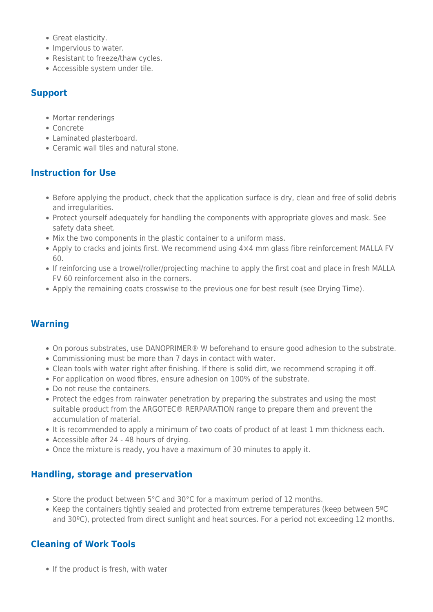- Great elasticity.
- Impervious to water.
- Resistant to freeze/thaw cycles.
- Accessible system under tile.

#### **Support**

- Mortar renderings
- Concrete
- Laminated plasterboard.
- Ceramic wall tiles and natural stone.

#### **Instruction for Use**

- Before applying the product, check that the application surface is dry, clean and free of solid debris and irregularities.
- Protect yourself adequately for handling the components with appropriate gloves and mask. See safety data sheet.
- Mix the two components in the plastic container to a uniform mass.
- Apply to cracks and joints first. We recommend using 4×4 mm glass fibre reinforcement MALLA FV 60.
- If reinforcing use a trowel/roller/projecting machine to apply the first coat and place in fresh MALLA FV 60 reinforcement also in the corners.
- Apply the remaining coats crosswise to the previous one for best result (see Drying Time).

#### **Warning**

- On porous substrates, use DANOPRIMER® W beforehand to ensure good adhesion to the substrate.
- Commissioning must be more than 7 days in contact with water.
- Clean tools with water right after finishing. If there is solid dirt, we recommend scraping it off.
- For application on wood fibres, ensure adhesion on 100% of the substrate.
- Do not reuse the containers.
- Protect the edges from rainwater penetration by preparing the substrates and using the most suitable product from the ARGOTEC® RERPARATION range to prepare them and prevent the accumulation of material.
- It is recommended to apply a minimum of two coats of product of at least 1 mm thickness each.
- Accessible after 24 48 hours of drying.
- Once the mixture is ready, you have a maximum of 30 minutes to apply it.

#### **Handling, storage and preservation**

- Store the product between 5°C and 30°C for a maximum period of 12 months.
- Keep the containers tightly sealed and protected from extreme temperatures (keep between 5°C) and 30°C), protected from direct sunlight and heat sources. For a period not exceeding 12 months.

## **Cleaning of Work Tools**

• If the product is fresh, with water